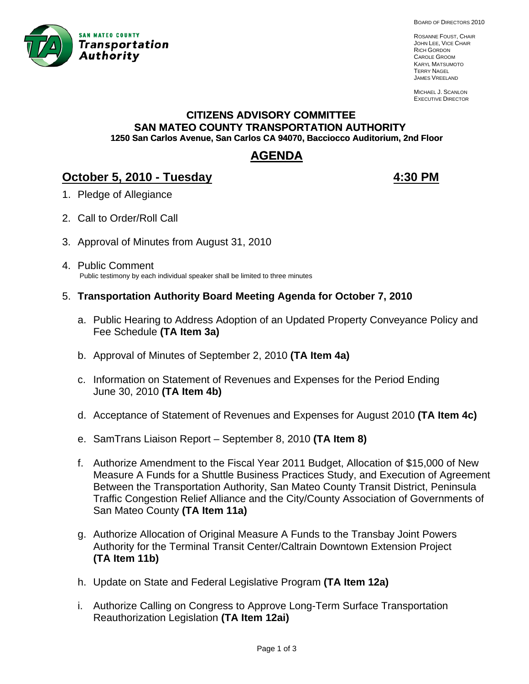

BOARD OF DIRECTORS 2010

ROSANNE FOUST, CHAIR JOHN LEE, VICE CHAIR RICH GORDON CAROLE GROOM KARYL MATSUMOTO TERRY NAGEL JAMES VREELAND

MICHAEL J. SCANLON EXECUTIVE DIRECTOR

# **CITIZENS ADVISORY COMMITTEE SAN MATEO COUNTY TRANSPORTATION AUTHORITY 1250 San Carlos Avenue, San Carlos CA 94070, Bacciocco Auditorium, 2nd Floor**

# **AGENDA**

# **October 5, 2010 - Tuesday 1:30 PM 4:30 PM**

- 1. Pledge of Allegiance
- 2. Call to Order/Roll Call
- 3. Approval of Minutes from August 31, 2010
- 4. Public Comment Public testimony by each individual speaker shall be limited to three minutes
- 5. **Transportation Authority Board Meeting Agenda for October 7, 2010** 
	- a. Public Hearing to Address Adoption of an Updated Property Conveyance Policy and Fee Schedule **(TA Item 3a)**
	- b. Approval of Minutes of September 2, 2010 **(TA Item 4a)**
	- c. Information on Statement of Revenues and Expenses for the Period Ending June 30, 2010 **(TA Item 4b)**
	- d. Acceptance of Statement of Revenues and Expenses for August 2010 **(TA Item 4c)**
	- e. SamTrans Liaison Report September 8, 2010 **(TA Item 8)**
	- f. Authorize Amendment to the Fiscal Year 2011 Budget, Allocation of \$15,000 of New Measure A Funds for a Shuttle Business Practices Study, and Execution of Agreement Between the Transportation Authority, San Mateo County Transit District, Peninsula Traffic Congestion Relief Alliance and the City/County Association of Governments of San Mateo County **(TA Item 11a)**
	- g. Authorize Allocation of Original Measure A Funds to the Transbay Joint Powers Authority for the Terminal Transit Center/Caltrain Downtown Extension Project **(TA Item 11b)**
	- h. Update on State and Federal Legislative Program **(TA Item 12a)**
	- i. Authorize Calling on Congress to Approve Long-Term Surface Transportation Reauthorization Legislation **(TA Item 12ai)**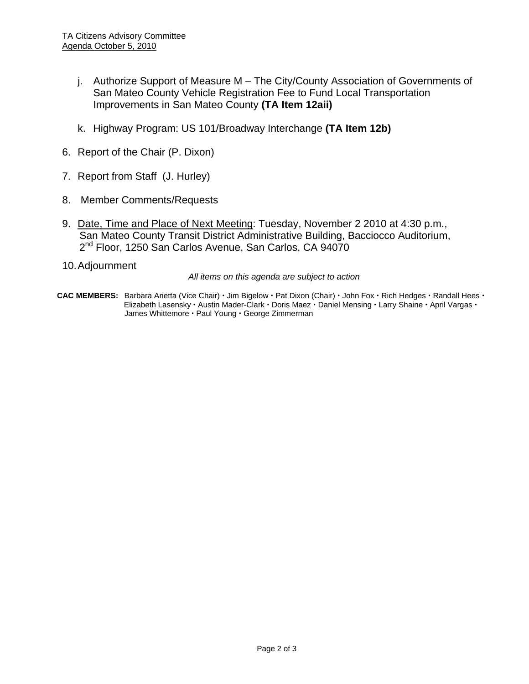- j. Authorize Support of Measure M The City/County Association of Governments of San Mateo County Vehicle Registration Fee to Fund Local Transportation Improvements in San Mateo County **(TA Item 12aii)**
- k. Highway Program: US 101/Broadway Interchange **(TA Item 12b)**
- 6. Report of the Chair (P. Dixon)
- 7. Report from Staff (J. Hurley)
- 8. Member Comments/Requests
- 9. Date, Time and Place of Next Meeting: Tuesday, November 2 2010 at 4:30 p.m., San Mateo County Transit District Administrative Building, Bacciocco Auditorium, 2<sup>nd</sup> Floor, 1250 San Carlos Avenue, San Carlos, CA 94070
- 10. Adjournment

*All items on this agenda are subject to action* 

**CAC MEMBERS:** Barbara Arietta (Vice Chair)  $\cdot$  Jim Bigelow  $\cdot$  Pat Dixon (Chair)  $\cdot$  John Fox  $\cdot$  Rich Hedges  $\cdot$  Randall Hees  $\cdot$ Elizabeth Lasensky · Austin Mader-Clark · Doris Maez · Daniel Mensing · Larry Shaine · April Vargas · James Whittemore · Paul Young · George Zimmerman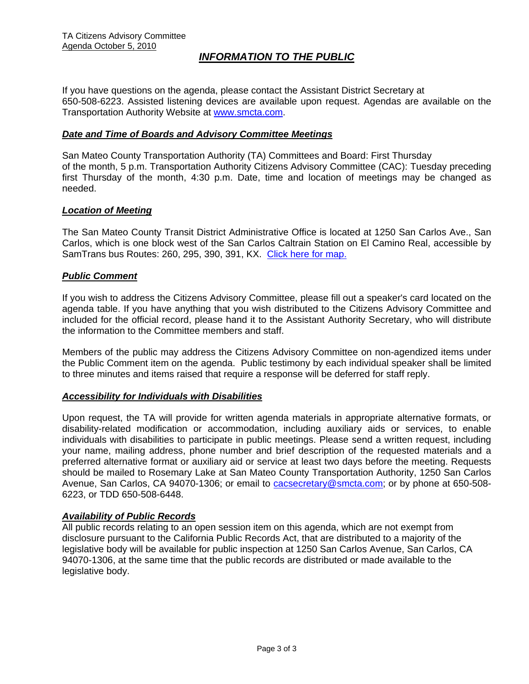# *INFORMATION TO THE PUBLIC*

If you have questions on the agenda, please contact the Assistant District Secretary at 650-508-6223. Assisted listening devices are available upon request. Agendas are available on the Transportation Authority Website at [www.smcta.com.](http://www.smcta.com/)

#### *Date and Time of Boards and Advisory Committee Meetings*

San Mateo County Transportation Authority (TA) Committees and Board: First Thursday of the month, 5 p.m. Transportation Authority Citizens Advisory Committee (CAC): Tuesday preceding first Thursday of the month, 4:30 p.m. Date, time and location of meetings may be changed as needed.

#### *Location of Meeting*

The San Mateo County Transit District Administrative Office is located at 1250 San Carlos Ave., San Carlos, which is one block west of the San Carlos Caltrain Station on El Camino Real, accessible by SamTrans bus Routes: 260, 295, 390, 391, KX. [Click here for map.](http://maps.google.com/maps?f=q&hl=en&geocode=&q=1250+San+Carlos+Ave,+San+Carlos,+CA+94070&sll=37.0625,-95.677068&sspn=33.077336,56.25&ie=UTF8&ll=37.507394,-122.261996&spn=0.008085,0.013733&z=16)

#### *Public Comment*

If you wish to address the Citizens Advisory Committee, please fill out a speaker's card located on the agenda table. If you have anything that you wish distributed to the Citizens Advisory Committee and included for the official record, please hand it to the Assistant Authority Secretary, who will distribute the information to the Committee members and staff.

Members of the public may address the Citizens Advisory Committee on non-agendized items under the Public Comment item on the agenda. Public testimony by each individual speaker shall be limited to three minutes and items raised that require a response will be deferred for staff reply.

#### *Accessibility for Individuals with Disabilities*

Upon request, the TA will provide for written agenda materials in appropriate alternative formats, or disability-related modification or accommodation, including auxiliary aids or services, to enable individuals with disabilities to participate in public meetings. Please send a written request, including your name, mailing address, phone number and brief description of the requested materials and a preferred alternative format or auxiliary aid or service at least two days before the meeting. Requests should be mailed to Rosemary Lake at San Mateo County Transportation Authority, 1250 San Carlos Avenue, San Carlos, CA 94070-1306; or email to [cacsecretary@smcta.com](mailto:cacsecretary@smcta.com); or by phone at 650-508-6223, or TDD 650-508-6448.

#### *Availability of Public Records*

All public records relating to an open session item on this agenda, which are not exempt from disclosure pursuant to the California Public Records Act, that are distributed to a majority of the legislative body will be available for public inspection at 1250 San Carlos Avenue, San Carlos, CA 94070-1306, at the same time that the public records are distributed or made available to the legislative body.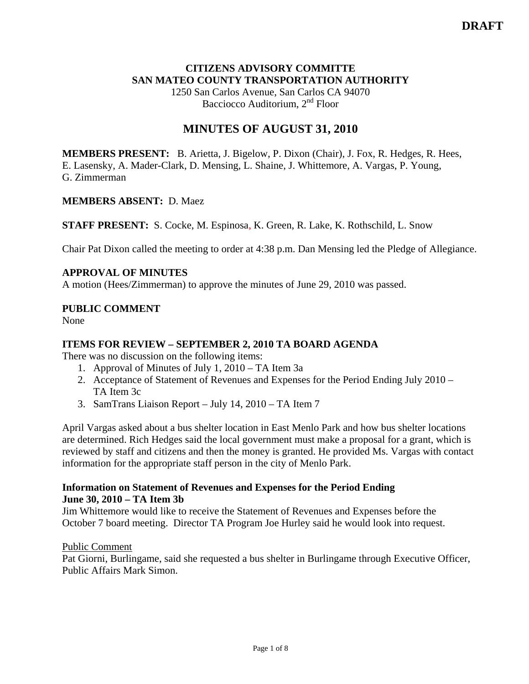# **CITIZENS ADVISORY COMMITTE SAN MATEO COUNTY TRANSPORTATION AUTHORITY**

1250 San Carlos Avenue, San Carlos CA 94070 Bacciocco Auditorium, 2<sup>nd</sup> Floor

# **MINUTES OF AUGUST 31, 2010**

**MEMBERS PRESENT:** B. Arietta, J. Bigelow, P. Dixon (Chair), J. Fox, R. Hedges, R. Hees, E. Lasensky, A. Mader-Clark, D. Mensing, L. Shaine, J. Whittemore, A. Vargas, P. Young, G. Zimmerman

#### **MEMBERS ABSENT:** D. Maez

**STAFF PRESENT:** S. Cocke, M. Espinosa, K. Green, R. Lake, K. Rothschild, L. Snow

Chair Pat Dixon called the meeting to order at 4:38 p.m. Dan Mensing led the Pledge of Allegiance.

# **APPROVAL OF MINUTES**

A motion (Hees/Zimmerman) to approve the minutes of June 29, 2010 was passed.

## **PUBLIC COMMENT**

None

# **ITEMS FOR REVIEW – SEPTEMBER 2, 2010 TA BOARD AGENDA**

There was no discussion on the following items:

- 1. Approval of Minutes of July 1, 2010 TA Item 3a
- 2. Acceptance of Statement of Revenues and Expenses for the Period Ending July 2010 TA Item 3c
- 3. SamTrans Liaison Report July 14, 2010 TA Item 7

April Vargas asked about a bus shelter location in East Menlo Park and how bus shelter locations are determined. Rich Hedges said the local government must make a proposal for a grant, which is reviewed by staff and citizens and then the money is granted. He provided Ms. Vargas with contact information for the appropriate staff person in the city of Menlo Park.

#### **Information on Statement of Revenues and Expenses for the Period Ending June 30, 2010 – TA Item 3b**

Jim Whittemore would like to receive the Statement of Revenues and Expenses before the October 7 board meeting. Director TA Program Joe Hurley said he would look into request.

#### Public Comment

Pat Giorni, Burlingame, said she requested a bus shelter in Burlingame through Executive Officer, Public Affairs Mark Simon.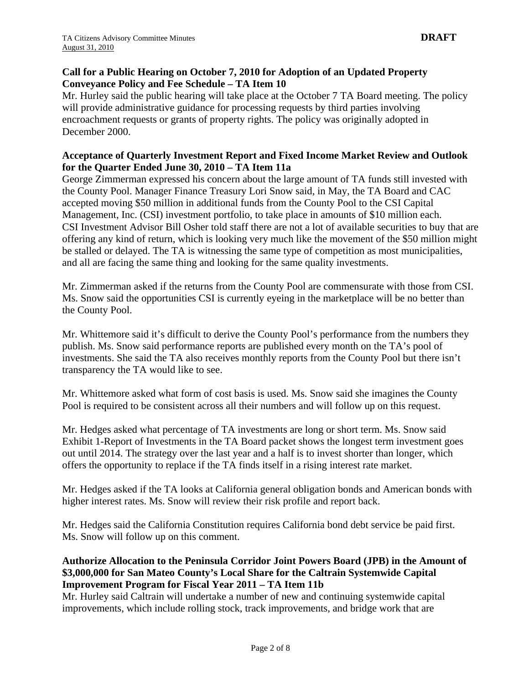#### **Call for a Public Hearing on October 7, 2010 for Adoption of an Updated Property Conveyance Policy and Fee Schedule – TA Item 10**

Mr. Hurley said the public hearing will take place at the October 7 TA Board meeting. The policy will provide administrative guidance for processing requests by third parties involving encroachment requests or grants of property rights. The policy was originally adopted in December 2000.

## **Acceptance of Quarterly Investment Report and Fixed Income Market Review and Outlook for the Quarter Ended June 30, 2010 – TA Item 11a**

George Zimmerman expressed his concern about the large amount of TA funds still invested with the County Pool. Manager Finance Treasury Lori Snow said, in May, the TA Board and CAC accepted moving \$50 million in additional funds from the County Pool to the CSI Capital Management, Inc. (CSI) investment portfolio, to take place in amounts of \$10 million each. CSI Investment Advisor Bill Osher told staff there are not a lot of available securities to buy that are offering any kind of return, which is looking very much like the movement of the \$50 million might be stalled or delayed. The TA is witnessing the same type of competition as most municipalities, and all are facing the same thing and looking for the same quality investments.

Mr. Zimmerman asked if the returns from the County Pool are commensurate with those from CSI. Ms. Snow said the opportunities CSI is currently eyeing in the marketplace will be no better than the County Pool.

Mr. Whittemore said it's difficult to derive the County Pool's performance from the numbers they publish. Ms. Snow said performance reports are published every month on the TA's pool of investments. She said the TA also receives monthly reports from the County Pool but there isn't transparency the TA would like to see.

Mr. Whittemore asked what form of cost basis is used. Ms. Snow said she imagines the County Pool is required to be consistent across all their numbers and will follow up on this request.

Mr. Hedges asked what percentage of TA investments are long or short term. Ms. Snow said Exhibit 1-Report of Investments in the TA Board packet shows the longest term investment goes out until 2014. The strategy over the last year and a half is to invest shorter than longer, which offers the opportunity to replace if the TA finds itself in a rising interest rate market.

Mr. Hedges asked if the TA looks at California general obligation bonds and American bonds with higher interest rates. Ms. Snow will review their risk profile and report back.

Mr. Hedges said the California Constitution requires California bond debt service be paid first. Ms. Snow will follow up on this comment.

# **Authorize Allocation to the Peninsula Corridor Joint Powers Board (JPB) in the Amount of \$3,000,000 for San Mateo County's Local Share for the Caltrain Systemwide Capital Improvement Program for Fiscal Year 2011 – TA Item 11b**

Mr. Hurley said Caltrain will undertake a number of new and continuing systemwide capital improvements, which include rolling stock, track improvements, and bridge work that are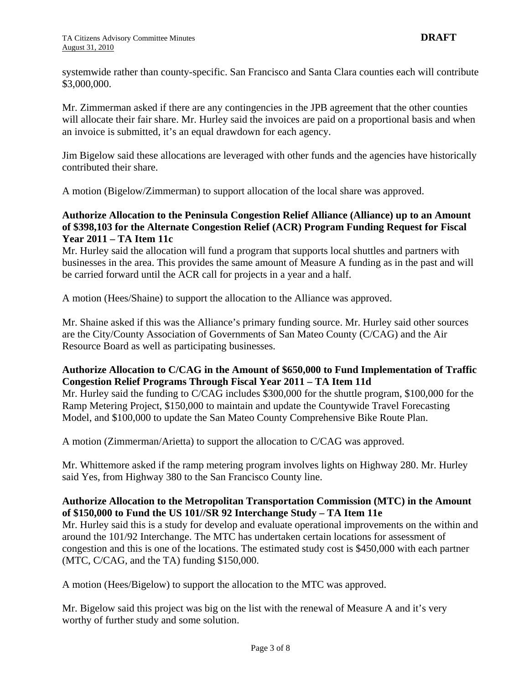systemwide rather than county-specific. San Francisco and Santa Clara counties each will contribute \$3,000,000.

Mr. Zimmerman asked if there are any contingencies in the JPB agreement that the other counties will allocate their fair share. Mr. Hurley said the invoices are paid on a proportional basis and when an invoice is submitted, it's an equal drawdown for each agency.

Jim Bigelow said these allocations are leveraged with other funds and the agencies have historically contributed their share.

A motion (Bigelow/Zimmerman) to support allocation of the local share was approved.

# **Authorize Allocation to the Peninsula Congestion Relief Alliance (Alliance) up to an Amount of \$398,103 for the Alternate Congestion Relief (ACR) Program Funding Request for Fiscal Year 2011 – TA Item 11c**

Mr. Hurley said the allocation will fund a program that supports local shuttles and partners with businesses in the area. This provides the same amount of Measure A funding as in the past and will be carried forward until the ACR call for projects in a year and a half.

A motion (Hees/Shaine) to support the allocation to the Alliance was approved.

Mr. Shaine asked if this was the Alliance's primary funding source. Mr. Hurley said other sources are the City/County Association of Governments of San Mateo County (C/CAG) and the Air Resource Board as well as participating businesses.

## **Authorize Allocation to C/CAG in the Amount of \$650,000 to Fund Implementation of Traffic Congestion Relief Programs Through Fiscal Year 2011 – TA Item 11d**

Mr. Hurley said the funding to C/CAG includes \$300,000 for the shuttle program, \$100,000 for the Ramp Metering Project, \$150,000 to maintain and update the Countywide Travel Forecasting Model, and \$100,000 to update the San Mateo County Comprehensive Bike Route Plan.

A motion (Zimmerman/Arietta) to support the allocation to C/CAG was approved.

Mr. Whittemore asked if the ramp metering program involves lights on Highway 280. Mr. Hurley said Yes, from Highway 380 to the San Francisco County line.

#### **Authorize Allocation to the Metropolitan Transportation Commission (MTC) in the Amount of \$150,000 to Fund the US 101//SR 92 Interchange Study – TA Item 11e**

Mr. Hurley said this is a study for develop and evaluate operational improvements on the within and around the 101/92 Interchange. The MTC has undertaken certain locations for assessment of congestion and this is one of the locations. The estimated study cost is \$450,000 with each partner (MTC, C/CAG, and the TA) funding \$150,000.

A motion (Hees/Bigelow) to support the allocation to the MTC was approved.

Mr. Bigelow said this project was big on the list with the renewal of Measure A and it's very worthy of further study and some solution.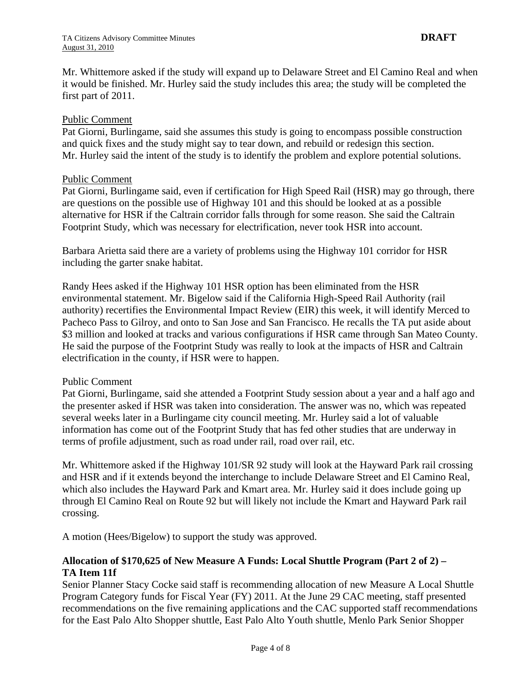Mr. Whittemore asked if the study will expand up to Delaware Street and El Camino Real and when it would be finished. Mr. Hurley said the study includes this area; the study will be completed the first part of 2011.

#### Public Comment

Pat Giorni, Burlingame, said she assumes this study is going to encompass possible construction and quick fixes and the study might say to tear down, and rebuild or redesign this section. Mr. Hurley said the intent of the study is to identify the problem and explore potential solutions.

#### Public Comment

Pat Giorni, Burlingame said, even if certification for High Speed Rail (HSR) may go through, there are questions on the possible use of Highway 101 and this should be looked at as a possible alternative for HSR if the Caltrain corridor falls through for some reason. She said the Caltrain Footprint Study, which was necessary for electrification, never took HSR into account.

Barbara Arietta said there are a variety of problems using the Highway 101 corridor for HSR including the garter snake habitat.

Randy Hees asked if the Highway 101 HSR option has been eliminated from the HSR environmental statement. Mr. Bigelow said if the California High-Speed Rail Authority (rail authority) recertifies the Environmental Impact Review (EIR) this week, it will identify Merced to Pacheco Pass to Gilroy, and onto to San Jose and San Francisco. He recalls the TA put aside about \$3 million and looked at tracks and various configurations if HSR came through San Mateo County. He said the purpose of the Footprint Study was really to look at the impacts of HSR and Caltrain electrification in the county, if HSR were to happen.

#### Public Comment

Pat Giorni, Burlingame, said she attended a Footprint Study session about a year and a half ago and the presenter asked if HSR was taken into consideration. The answer was no, which was repeated several weeks later in a Burlingame city council meeting. Mr. Hurley said a lot of valuable information has come out of the Footprint Study that has fed other studies that are underway in terms of profile adjustment, such as road under rail, road over rail, etc.

Mr. Whittemore asked if the Highway 101/SR 92 study will look at the Hayward Park rail crossing and HSR and if it extends beyond the interchange to include Delaware Street and El Camino Real, which also includes the Hayward Park and Kmart area. Mr. Hurley said it does include going up through El Camino Real on Route 92 but will likely not include the Kmart and Hayward Park rail crossing.

A motion (Hees/Bigelow) to support the study was approved.

## **Allocation of \$170,625 of New Measure A Funds: Local Shuttle Program (Part 2 of 2) – TA Item 11f**

Senior Planner Stacy Cocke said staff is recommending allocation of new Measure A Local Shuttle Program Category funds for Fiscal Year (FY) 2011. At the June 29 CAC meeting, staff presented recommendations on the five remaining applications and the CAC supported staff recommendations for the East Palo Alto Shopper shuttle, East Palo Alto Youth shuttle, Menlo Park Senior Shopper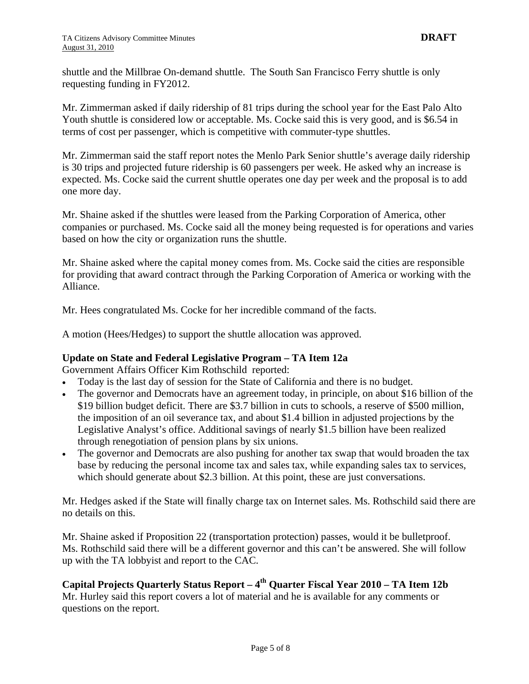shuttle and the Millbrae On-demand shuttle. The South San Francisco Ferry shuttle is only requesting funding in FY2012.

Mr. Zimmerman asked if daily ridership of 81 trips during the school year for the East Palo Alto Youth shuttle is considered low or acceptable. Ms. Cocke said this is very good, and is \$6.54 in terms of cost per passenger, which is competitive with commuter-type shuttles.

Mr. Zimmerman said the staff report notes the Menlo Park Senior shuttle's average daily ridership is 30 trips and projected future ridership is 60 passengers per week. He asked why an increase is expected. Ms. Cocke said the current shuttle operates one day per week and the proposal is to add one more day.

Mr. Shaine asked if the shuttles were leased from the Parking Corporation of America, other companies or purchased. Ms. Cocke said all the money being requested is for operations and varies based on how the city or organization runs the shuttle.

Mr. Shaine asked where the capital money comes from. Ms. Cocke said the cities are responsible for providing that award contract through the Parking Corporation of America or working with the Alliance.

Mr. Hees congratulated Ms. Cocke for her incredible command of the facts.

A motion (Hees/Hedges) to support the shuttle allocation was approved.

#### **Update on State and Federal Legislative Program – TA Item 12a**

Government Affairs Officer Kim Rothschild reported:

- Today is the last day of session for the State of California and there is no budget.
- The governor and Democrats have an agreement today, in principle, on about \$16 billion of the \$19 billion budget deficit. There are \$3.7 billion in cuts to schools, a reserve of \$500 million, the imposition of an oil severance tax, and about \$1.4 billion in adjusted projections by the Legislative Analyst's office. Additional savings of nearly \$1.5 billion have been realized through renegotiation of pension plans by six unions.
- The governor and Democrats are also pushing for another tax swap that would broaden the tax base by reducing the personal income tax and sales tax, while expanding sales tax to services, which should generate about \$2.3 billion. At this point, these are just conversations.

Mr. Hedges asked if the State will finally charge tax on Internet sales. Ms. Rothschild said there are no details on this.

Mr. Shaine asked if Proposition 22 (transportation protection) passes, would it be bulletproof. Ms. Rothschild said there will be a different governor and this can't be answered. She will follow up with the TA lobbyist and report to the CAC.

**Capital Projects Quarterly Status Report – 4th Quarter Fiscal Year 2010 – TA Item 12b**  Mr. Hurley said this report covers a lot of material and he is available for any comments or questions on the report.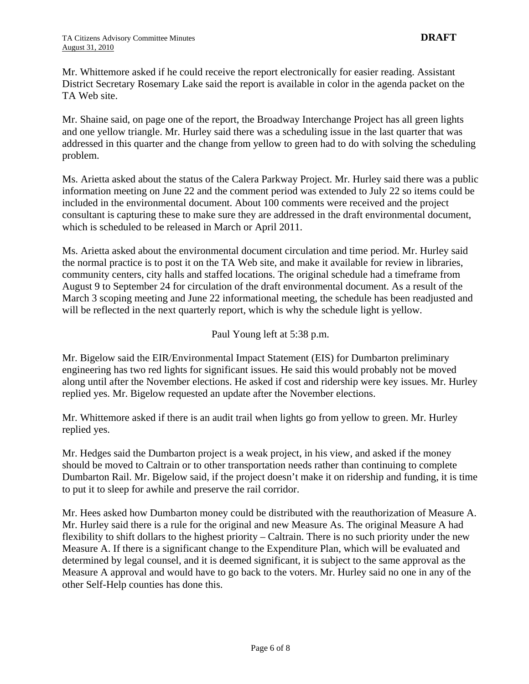Mr. Whittemore asked if he could receive the report electronically for easier reading. Assistant District Secretary Rosemary Lake said the report is available in color in the agenda packet on the TA Web site.

Mr. Shaine said, on page one of the report, the Broadway Interchange Project has all green lights and one yellow triangle. Mr. Hurley said there was a scheduling issue in the last quarter that was addressed in this quarter and the change from yellow to green had to do with solving the scheduling problem.

Ms. Arietta asked about the status of the Calera Parkway Project. Mr. Hurley said there was a public information meeting on June 22 and the comment period was extended to July 22 so items could be included in the environmental document. About 100 comments were received and the project consultant is capturing these to make sure they are addressed in the draft environmental document, which is scheduled to be released in March or April 2011.

Ms. Arietta asked about the environmental document circulation and time period. Mr. Hurley said the normal practice is to post it on the TA Web site, and make it available for review in libraries, community centers, city halls and staffed locations. The original schedule had a timeframe from August 9 to September 24 for circulation of the draft environmental document. As a result of the March 3 scoping meeting and June 22 informational meeting, the schedule has been readjusted and will be reflected in the next quarterly report, which is why the schedule light is yellow.

Paul Young left at 5:38 p.m.

Mr. Bigelow said the EIR/Environmental Impact Statement (EIS) for Dumbarton preliminary engineering has two red lights for significant issues. He said this would probably not be moved along until after the November elections. He asked if cost and ridership were key issues. Mr. Hurley replied yes. Mr. Bigelow requested an update after the November elections.

Mr. Whittemore asked if there is an audit trail when lights go from yellow to green. Mr. Hurley replied yes.

Mr. Hedges said the Dumbarton project is a weak project, in his view, and asked if the money should be moved to Caltrain or to other transportation needs rather than continuing to complete Dumbarton Rail. Mr. Bigelow said, if the project doesn't make it on ridership and funding, it is time to put it to sleep for awhile and preserve the rail corridor.

Mr. Hees asked how Dumbarton money could be distributed with the reauthorization of Measure A. Mr. Hurley said there is a rule for the original and new Measure As. The original Measure A had flexibility to shift dollars to the highest priority – Caltrain. There is no such priority under the new Measure A. If there is a significant change to the Expenditure Plan, which will be evaluated and determined by legal counsel, and it is deemed significant, it is subject to the same approval as the Measure A approval and would have to go back to the voters. Mr. Hurley said no one in any of the other Self-Help counties has done this.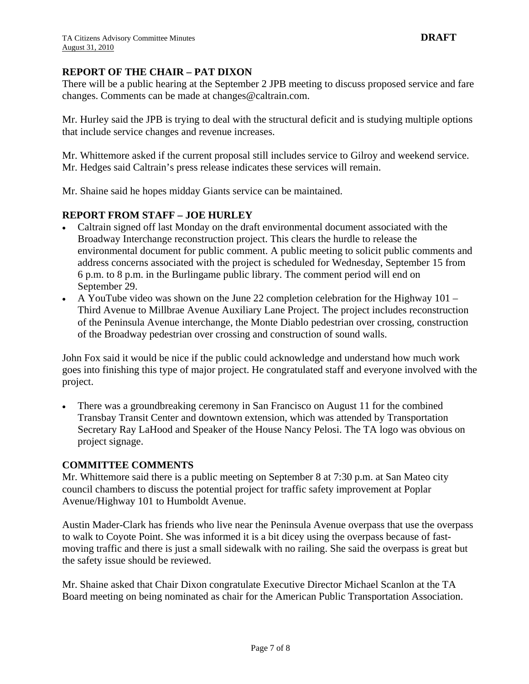## **REPORT OF THE CHAIR – PAT DIXON**

There will be a public hearing at the September 2 JPB meeting to discuss proposed service and fare changes. Comments can be made at [changes@caltrain.com.](mailto:changes@caltrain.com)

Mr. Hurley said the JPB is trying to deal with the structural deficit and is studying multiple options that include service changes and revenue increases.

Mr. Whittemore asked if the current proposal still includes service to Gilroy and weekend service. Mr. Hedges said Caltrain's press release indicates these services will remain.

Mr. Shaine said he hopes midday Giants service can be maintained.

#### **REPORT FROM STAFF – JOE HURLEY**

- Caltrain signed off last Monday on the draft environmental document associated with the Broadway Interchange reconstruction project. This clears the hurdle to release the environmental document for public comment. A public meeting to solicit public comments and address concerns associated with the project is scheduled for Wednesday, September 15 from 6 p.m. to 8 p.m. in the Burlingame public library. The comment period will end on September 29.
- A YouTube video was shown on the June 22 completion celebration for the Highway 101 Third Avenue to Millbrae Avenue Auxiliary Lane Project. The project includes reconstruction of the Peninsula Avenue interchange, the Monte Diablo pedestrian over crossing, construction of the Broadway pedestrian over crossing and construction of sound walls.

John Fox said it would be nice if the public could acknowledge and understand how much work goes into finishing this type of major project. He congratulated staff and everyone involved with the project.

• There was a groundbreaking ceremony in San Francisco on August 11 for the combined Transbay Transit Center and downtown extension, which was attended by Transportation Secretary Ray LaHood and Speaker of the House Nancy Pelosi. The TA logo was obvious on project signage.

#### **COMMITTEE COMMENTS**

Mr. Whittemore said there is a public meeting on September 8 at 7:30 p.m. at San Mateo city council chambers to discuss the potential project for traffic safety improvement at Poplar Avenue/Highway 101 to Humboldt Avenue.

Austin Mader-Clark has friends who live near the Peninsula Avenue overpass that use the overpass to walk to Coyote Point. She was informed it is a bit dicey using the overpass because of fastmoving traffic and there is just a small sidewalk with no railing. She said the overpass is great but the safety issue should be reviewed.

Mr. Shaine asked that Chair Dixon congratulate Executive Director Michael Scanlon at the TA Board meeting on being nominated as chair for the American Public Transportation Association.